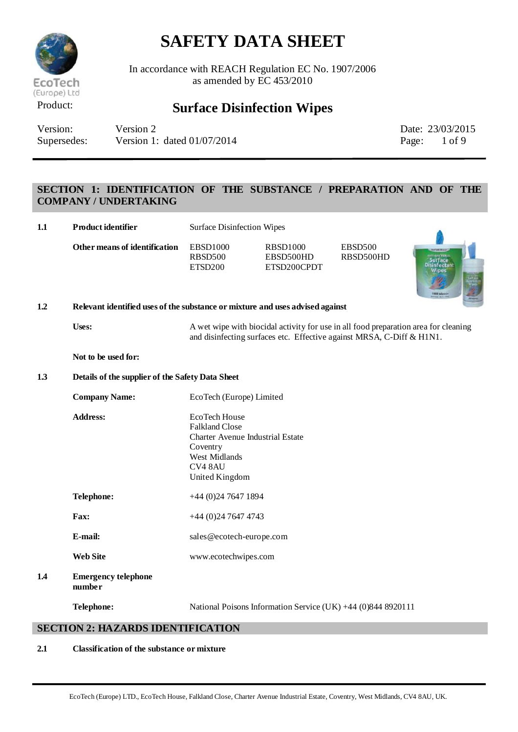

In accordance with REACH Regulation EC No. 1907/2006 as amended by EC 453/2010

## Product: **Surface Disinfection Wipes**

Version: Version 2 Date: 23/03/2015 Supersedes: Version 1: dated 01/07/2014 Page: 1 of 9

## **SECTION 1: IDENTIFICATION OF THE SUBSTANCE / PREPARATION AND OF THE COMPANY / UNDERTAKING**

| 1.1 | <b>Product identifier</b>                                                     | <b>Surface Disinfection Wipes</b>                                                                                                           |                                                                                                                                                              |                             |                                              |  |
|-----|-------------------------------------------------------------------------------|---------------------------------------------------------------------------------------------------------------------------------------------|--------------------------------------------------------------------------------------------------------------------------------------------------------------|-----------------------------|----------------------------------------------|--|
|     | Other means of identification                                                 | <b>EBSD1000</b><br><b>RBSD500</b><br>ETSD200                                                                                                | <b>RBSD1000</b><br>EBSD500HD<br>ETSD200CPDT                                                                                                                  | <b>EBSD500</b><br>RBSD500HD | urface<br>Disinfectant<br>Wipes<br>000 winns |  |
| 1.2 | Relevant identified uses of the substance or mixture and uses advised against |                                                                                                                                             |                                                                                                                                                              |                             |                                              |  |
|     | Uses:                                                                         |                                                                                                                                             | A wet wipe with biocidal activity for use in all food preparation area for cleaning<br>and disinfecting surfaces etc. Effective against MRSA, C-Diff & H1N1. |                             |                                              |  |
|     | Not to be used for:                                                           |                                                                                                                                             |                                                                                                                                                              |                             |                                              |  |
| 1.3 | Details of the supplier of the Safety Data Sheet                              |                                                                                                                                             |                                                                                                                                                              |                             |                                              |  |
|     | <b>Company Name:</b>                                                          | EcoTech (Europe) Limited                                                                                                                    |                                                                                                                                                              |                             |                                              |  |
|     | <b>Address:</b>                                                               | EcoTech House<br><b>Falkland Close</b><br><b>Charter Avenue Industrial Estate</b><br>Coventry<br>West Midlands<br>CV4 8AU<br>United Kingdom |                                                                                                                                                              |                             |                                              |  |
|     | Telephone:                                                                    | $+44$ (0)24 7647 1894                                                                                                                       |                                                                                                                                                              |                             |                                              |  |
|     | Fax:                                                                          | $+44(0)2476474743$                                                                                                                          |                                                                                                                                                              |                             |                                              |  |
|     | E-mail:                                                                       | sales@ecotech-europe.com                                                                                                                    |                                                                                                                                                              |                             |                                              |  |
|     | <b>Web Site</b>                                                               | www.ecotechwipes.com                                                                                                                        |                                                                                                                                                              |                             |                                              |  |
| 1.4 | <b>Emergency telephone</b><br>number                                          |                                                                                                                                             |                                                                                                                                                              |                             |                                              |  |
|     | Telephone:                                                                    |                                                                                                                                             | National Poisons Information Service (UK) +44 (0)844 8920111                                                                                                 |                             |                                              |  |

### **SECTION 2: HAZARDS IDENTIFICATION**

#### **2.1 Classification of the substance or mixture**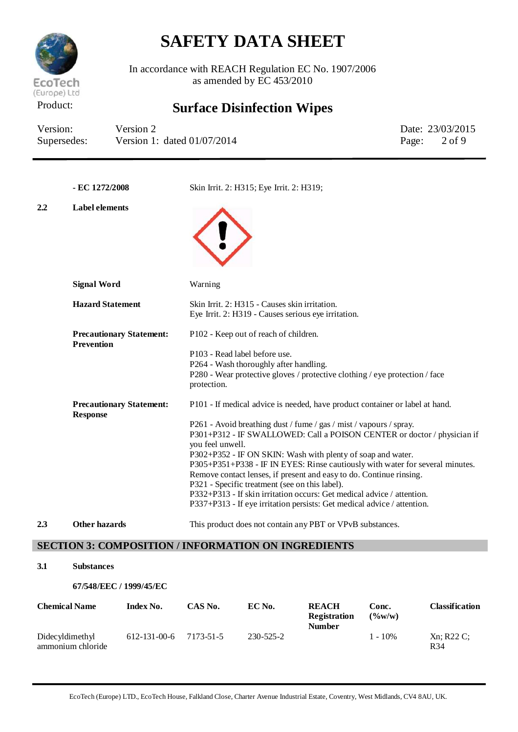

In accordance with REACH Regulation EC No. 1907/2006 as amended by  $EC$  453/2010

# Product: **Surface Disinfection Wipes**

| Version:    | Version 2                     | Date: 23/03/2015        |
|-------------|-------------------------------|-------------------------|
| Supersedes: | Version 1: dated $01/07/2014$ | Page: $2 \text{ of } 9$ |

|     | - EC 1272/2008                                       | Skin Irrit. 2: H315; Eye Irrit. 2: H319;                                                                                                                                                                                                                                                                                                                                                                                                                                                                                                                                                                                                                                        |
|-----|------------------------------------------------------|---------------------------------------------------------------------------------------------------------------------------------------------------------------------------------------------------------------------------------------------------------------------------------------------------------------------------------------------------------------------------------------------------------------------------------------------------------------------------------------------------------------------------------------------------------------------------------------------------------------------------------------------------------------------------------|
| 2.2 | <b>Label elements</b>                                |                                                                                                                                                                                                                                                                                                                                                                                                                                                                                                                                                                                                                                                                                 |
|     | <b>Signal Word</b>                                   | Warning                                                                                                                                                                                                                                                                                                                                                                                                                                                                                                                                                                                                                                                                         |
|     | <b>Hazard Statement</b>                              | Skin Irrit. 2: H315 - Causes skin irritation.<br>Eye Irrit. 2: H319 - Causes serious eye irritation.                                                                                                                                                                                                                                                                                                                                                                                                                                                                                                                                                                            |
|     | <b>Precautionary Statement:</b><br><b>Prevention</b> | P102 - Keep out of reach of children.<br>P103 - Read label before use.<br>P264 - Wash thoroughly after handling.<br>P280 - Wear protective gloves / protective clothing / eye protection / face<br>protection.                                                                                                                                                                                                                                                                                                                                                                                                                                                                  |
|     | <b>Precautionary Statement:</b><br><b>Response</b>   | P101 - If medical advice is needed, have product container or label at hand.<br>P261 - Avoid breathing dust / fume / gas / mist / vapours / spray.<br>P301+P312 - IF SWALLOWED: Call a POISON CENTER or doctor / physician if<br>you feel unwell.<br>P302+P352 - IF ON SKIN: Wash with plenty of soap and water.<br>P305+P351+P338 - IF IN EYES: Rinse cautiously with water for several minutes.<br>Remove contact lenses, if present and easy to do. Continue rinsing.<br>P321 - Specific treatment (see on this label).<br>P332+P313 - If skin irritation occurs: Get medical advice / attention.<br>P337+P313 - If eye irritation persists: Get medical advice / attention. |
| 2.3 | <b>Other hazards</b>                                 | This product does not contain any PBT or VPvB substances.                                                                                                                                                                                                                                                                                                                                                                                                                                                                                                                                                                                                                       |

## **SECTION 3: COMPOSITION / INFORMATION ON INGREDIENTS**

### **3.1 Substances**

#### **67/548/EEC / 1999/45/EC**

| <b>Chemical Name</b>                 | Index No.            | CAS No.   | EC No.    | <b>REACH</b><br><b>Registration</b><br><b>Number</b> | Conc.<br>$($ %w/w) | Classification              |
|--------------------------------------|----------------------|-----------|-----------|------------------------------------------------------|--------------------|-----------------------------|
| Didecyldimethyl<br>ammonium chloride | $612 - 131 - 00 - 6$ | 7173-51-5 | 230-525-2 |                                                      | $1 - 10\%$         | Xn: R22C<br>R <sub>34</sub> |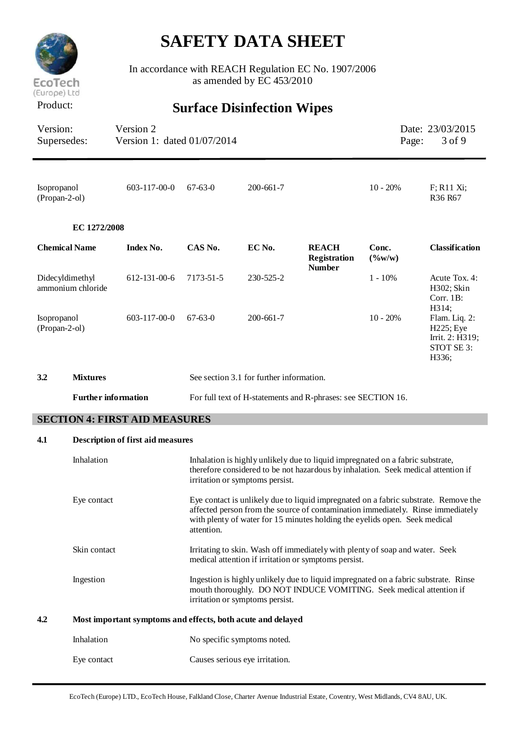

In accordance with REACH Regulation EC No. 1907/2006 as amended by EC 453/2010

# Product: **Surface Disinfection Wipes**

| Version:    | Supersedes:                          | Version 2<br>Version 1: dated 01/07/2014                                                                                                                                                                                                                           |               |                                          |                                                                                                                                                                     | Page:                    | Date: 23/03/2015<br>3 of 9                                                    |
|-------------|--------------------------------------|--------------------------------------------------------------------------------------------------------------------------------------------------------------------------------------------------------------------------------------------------------------------|---------------|------------------------------------------|---------------------------------------------------------------------------------------------------------------------------------------------------------------------|--------------------------|-------------------------------------------------------------------------------|
| Isopropanol | (Propan-2-ol)                        | $603 - 117 - 00 - 0$                                                                                                                                                                                                                                               | $67 - 63 - 0$ | $200 - 661 - 7$                          |                                                                                                                                                                     | $10 - 20%$               | $F$ ; R11 Xi;<br>R36 R67                                                      |
|             | EC 1272/2008                         |                                                                                                                                                                                                                                                                    |               |                                          |                                                                                                                                                                     |                          |                                                                               |
|             | <b>Chemical Name</b>                 | Index No.                                                                                                                                                                                                                                                          | CAS No.       | EC No.                                   | <b>REACH</b><br><b>Registration</b><br><b>Number</b>                                                                                                                | Conc.<br>$(\frac{6}{W})$ | <b>Classification</b>                                                         |
|             | Didecyldimethyl<br>ammonium chloride | 612-131-00-6                                                                                                                                                                                                                                                       | 7173-51-5     | 230-525-2                                |                                                                                                                                                                     | $1 - 10%$                | Acute Tox. 4:<br>H302; Skin<br>Corr. 1B:                                      |
| Isopropanol | (Propan-2-ol)                        | $603 - 117 - 00 - 0$                                                                                                                                                                                                                                               | $67 - 63 - 0$ | $200 - 661 - 7$                          |                                                                                                                                                                     | $10 - 20%$               | H314;<br>Flam. Liq. 2:<br>H225; Eye<br>Irrit. 2: H319;<br>STOT SE 3:<br>H336; |
| 3.2         | <b>Mixtures</b>                      |                                                                                                                                                                                                                                                                    |               | See section 3.1 for further information. |                                                                                                                                                                     |                          |                                                                               |
|             | <b>Further information</b>           |                                                                                                                                                                                                                                                                    |               |                                          | For full text of H-statements and R-phrases: see SECTION 16.                                                                                                        |                          |                                                                               |
|             |                                      | <b>SECTION 4: FIRST AID MEASURES</b>                                                                                                                                                                                                                               |               |                                          |                                                                                                                                                                     |                          |                                                                               |
| 4.1         |                                      | <b>Description of first aid measures</b>                                                                                                                                                                                                                           |               |                                          |                                                                                                                                                                     |                          |                                                                               |
|             | Inhalation                           |                                                                                                                                                                                                                                                                    |               | irritation or symptoms persist.          | Inhalation is highly unlikely due to liquid impregnated on a fabric substrate,<br>therefore considered to be not hazardous by inhalation. Seek medical attention if |                          |                                                                               |
| Eye contact |                                      | Eye contact is unlikely due to liquid impregnated on a fabric substrate. Remove the<br>affected person from the source of contamination immediately. Rinse immediately<br>with plenty of water for 15 minutes holding the eyelids open. Seek medical<br>attention. |               |                                          |                                                                                                                                                                     |                          |                                                                               |
|             | Skin contact                         |                                                                                                                                                                                                                                                                    |               |                                          | Irritating to skin. Wash off immediately with plenty of soap and water. Seek<br>medical attention if irritation or symptoms persist.                                |                          |                                                                               |
|             | Ingestion                            |                                                                                                                                                                                                                                                                    |               | irritation or symptoms persist.          | Ingestion is highly unlikely due to liquid impregnated on a fabric substrate. Rinse<br>mouth thoroughly. DO NOT INDUCE VOMITING. Seek medical attention if          |                          |                                                                               |
| 4.2         |                                      | Most important symptoms and effects, both acute and delayed                                                                                                                                                                                                        |               |                                          |                                                                                                                                                                     |                          |                                                                               |
|             | Inhalation                           |                                                                                                                                                                                                                                                                    |               | No specific symptoms noted.              |                                                                                                                                                                     |                          |                                                                               |
|             | Eye contact                          |                                                                                                                                                                                                                                                                    |               | Causes serious eye irritation.           |                                                                                                                                                                     |                          |                                                                               |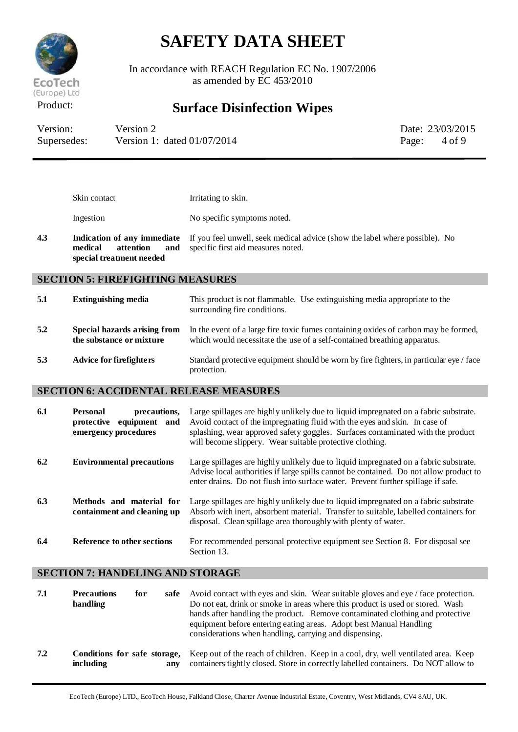

In accordance with REACH Regulation EC No. 1907/2006 as amended by EC 453/2010

## Product: **Surface Disinfection Wipes**

| Version:    | Version 2                     | Date: 23/03/2015 |
|-------------|-------------------------------|------------------|
| Supersedes: | Version 1: dated $01/07/2014$ | Page: $4$ of 9   |

|     | Skin contact                                     | Irritating to skin.                                                                                                                                             |
|-----|--------------------------------------------------|-----------------------------------------------------------------------------------------------------------------------------------------------------------------|
|     | Ingestion                                        | No specific symptoms noted.                                                                                                                                     |
| 4.3 | medical<br>attention<br>special treatment needed | <b>Indication of any immediate</b> If you feel unwell, seek medical advice (show the label where possible). No<br><b>and</b> specific first aid measures noted. |

### **SECTION 5: FIREFIGHTING MEASURES**

| 5.1 | <b>Extinguishing media</b>                               | This product is not flammable. Use extinguishing media appropriate to the<br>surrounding fire conditions.                                                       |
|-----|----------------------------------------------------------|-----------------------------------------------------------------------------------------------------------------------------------------------------------------|
| 5.2 | Special hazards arising from<br>the substance or mixture | In the event of a large fire toxic fumes containing oxides of carbon may be formed,<br>which would necessitate the use of a self-contained breathing apparatus. |
| 5.3 | <b>Advice for firefighters</b>                           | Standard protective equipment should be worn by fire fighters, in particular eye / face<br>protection.                                                          |

### **SECTION 6: ACCIDENTAL RELEASE MEASURES**

| 6.1 | <b>Personal</b><br>precautions,<br>protective equipment<br>and<br>emergency procedures | Large spillages are highly unlikely due to liquid impregnated on a fabric substrate.<br>Avoid contact of the impregnating fluid with the eyes and skin. In case of<br>splashing, wear approved safety goggles. Surfaces contaminated with the product<br>will become slippery. Wear suitable protective clothing. |
|-----|----------------------------------------------------------------------------------------|-------------------------------------------------------------------------------------------------------------------------------------------------------------------------------------------------------------------------------------------------------------------------------------------------------------------|
| 6.2 | <b>Environmental precautions</b>                                                       | Large spillages are highly unlikely due to liquid impregnated on a fabric substrate.<br>Advise local authorities if large spills cannot be contained. Do not allow product to<br>enter drains. Do not flush into surface water. Prevent further spillage if safe.                                                 |
| 6.3 | Methods and material for<br>containment and cleaning up                                | Large spillages are highly unlikely due to liquid impregnated on a fabric substrate<br>Absorb with inert, absorbent material. Transfer to suitable, labelled containers for<br>disposal. Clean spillage area thoroughly with plenty of water.                                                                     |
| 6.4 | Reference to other sections                                                            | For recommended personal protective equipment see Section 8. For disposal see<br>Section 13.                                                                                                                                                                                                                      |

### **SECTION 7: HANDELING AND STORAGE**

| 7.1 | <b>Precautions</b><br>handling                   | for<br>safe | Avoid contact with eyes and skin. Wear suitable gloves and eye / face protection.<br>Do not eat, drink or smoke in areas where this product is used or stored. Wash<br>hands after handling the product. Remove contaminated clothing and protective<br>equipment before entering eating areas. Adopt best Manual Handling<br>considerations when handling, carrying and dispensing. |
|-----|--------------------------------------------------|-------------|--------------------------------------------------------------------------------------------------------------------------------------------------------------------------------------------------------------------------------------------------------------------------------------------------------------------------------------------------------------------------------------|
| 7.2 | Conditions for safe storage,<br><i>including</i> | anv         | Keep out of the reach of children. Keep in a cool, dry, well ventilated area. Keep<br>containers tightly closed. Store in correctly labelled containers. Do NOT allow to                                                                                                                                                                                                             |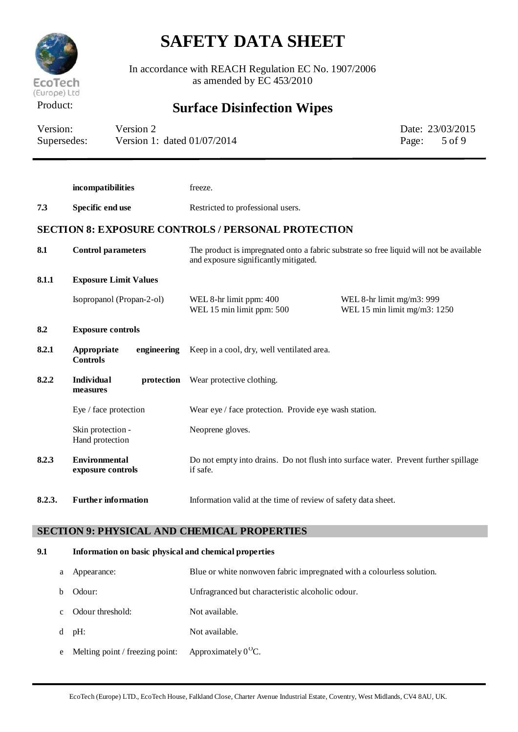

In accordance with REACH Regulation EC No. 1907/2006 as amended by EC 453/2010

## Product: **Surface Disinfection Wipes**

| Version:    | Version 2                     |       | Date: 23/03/2015 |
|-------------|-------------------------------|-------|------------------|
| Supersedes: | Version 1: dated $01/07/2014$ | Page: | 5 of 9           |

|        | incompatibilities                             | freeze.                                                                                                                          |                                                           |  |
|--------|-----------------------------------------------|----------------------------------------------------------------------------------------------------------------------------------|-----------------------------------------------------------|--|
| 7.3    | Specific end use                              | Restricted to professional users.                                                                                                |                                                           |  |
|        |                                               | <b>SECTION 8: EXPOSURE CONTROLS / PERSONAL PROTECTION</b>                                                                        |                                                           |  |
| 8.1    | <b>Control parameters</b>                     | The product is impregnated onto a fabric substrate so free liquid will not be available<br>and exposure significantly mitigated. |                                                           |  |
| 8.1.1  | <b>Exposure Limit Values</b>                  |                                                                                                                                  |                                                           |  |
|        | Isopropanol (Propan-2-ol)                     | WEL 8-hr limit ppm: 400<br>WEL 15 min limit ppm: 500                                                                             | WEL 8-hr limit mg/m3: 999<br>WEL 15 min limit mg/m3: 1250 |  |
| 8.2    | <b>Exposure controls</b>                      |                                                                                                                                  |                                                           |  |
| 8.2.1  | Appropriate<br>engineering<br><b>Controls</b> | Keep in a cool, dry, well ventilated area.                                                                                       |                                                           |  |
| 8.2.2  | Individual<br>protection<br>measures          | Wear protective clothing.                                                                                                        |                                                           |  |
|        | Eye / face protection                         | Wear eye / face protection. Provide eye wash station.                                                                            |                                                           |  |
|        | Skin protection -<br>Hand protection          | Neoprene gloves.                                                                                                                 |                                                           |  |
| 8.2.3  | <b>Environmental</b><br>exposure controls     | Do not empty into drains. Do not flush into surface water. Prevent further spillage<br>if safe.                                  |                                                           |  |
| 8.2.3. | <b>Further information</b>                    | Information valid at the time of review of safety data sheet.                                                                    |                                                           |  |

## **SECTION 9: PHYSICAL AND CHEMICAL PROPERTIES**

### **9.1 Information on basic physical and chemical properties**

|   | Appearance:                                                  | Blue or white nonwoven fabric impregnated with a colourless solution. |
|---|--------------------------------------------------------------|-----------------------------------------------------------------------|
|   | Odour:                                                       | Unfragranced but characteristic alcoholic odour.                      |
|   | Odour threshold:                                             | Not available.                                                        |
|   | $d$ pH:                                                      | Not available.                                                        |
| e | Melting point / freezing point: Approximately $0^{\circ}$ C. |                                                                       |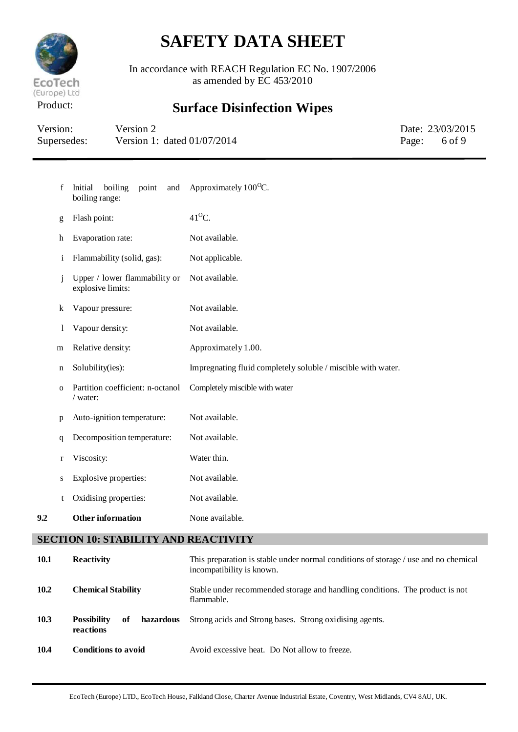

In accordance with REACH Regulation EC No. 1907/2006 as amended by EC 453/2010

# Product: **Surface Disinfection Wipes**

| Version:    | Version 2                     | Date: 23/03/2015 |
|-------------|-------------------------------|------------------|
| Supersedes: | Version 1: dated $01/07/2014$ | Page: 6 of 9     |

| f            | point<br>Initial<br>boiling<br>and<br>boiling range: | Approximately $100^{\circ}$ C.                               |
|--------------|------------------------------------------------------|--------------------------------------------------------------|
| g            | Flash point:                                         | $41^{\circ}$ C.                                              |
| h            | Evaporation rate:                                    | Not available.                                               |
| $\mathbf{i}$ | Flammability (solid, gas):                           | Not applicable.                                              |
| j            | Upper / lower flammability or<br>explosive limits:   | Not available.                                               |
| k            | Vapour pressure:                                     | Not available.                                               |
| 1            | Vapour density:                                      | Not available.                                               |
| m            | Relative density:                                    | Approximately 1.00.                                          |
| $\mathbf n$  | Solubility(ies):                                     | Impregnating fluid completely soluble / miscible with water. |
| $\mathbf 0$  | Partition coefficient: n-octanol<br>$/$ water:       | Completely miscible with water                               |
| p            | Auto-ignition temperature:                           | Not available.                                               |
| q            | Decomposition temperature:                           | Not available.                                               |
| $\mathbf r$  | Viscosity:                                           | Water thin.                                                  |
| S            | Explosive properties:                                | Not available.                                               |
| t            | Oxidising properties:                                | Not available.                                               |
| 9.2          | <b>Other information</b>                             | None available.                                              |
|              |                                                      |                                                              |

## **SECTION 10: STABILITY AND REACTIVITY**

| <b>10.1</b> | <b>Reactivity</b>                                  | This preparation is stable under normal conditions of storage / use and no chemical<br>incompatibility is known. |
|-------------|----------------------------------------------------|------------------------------------------------------------------------------------------------------------------|
| 10.2        | <b>Chemical Stability</b>                          | Stable under recommended storage and handling conditions. The product is not<br>flammable.                       |
| 10.3        | of<br>hazardous<br><b>Possibility</b><br>reactions | Strong acids and Strong bases. Strong oxidising agents.                                                          |
| 10.4        | <b>Conditions to avoid</b>                         | Avoid excessive heat. Do Not allow to freeze.                                                                    |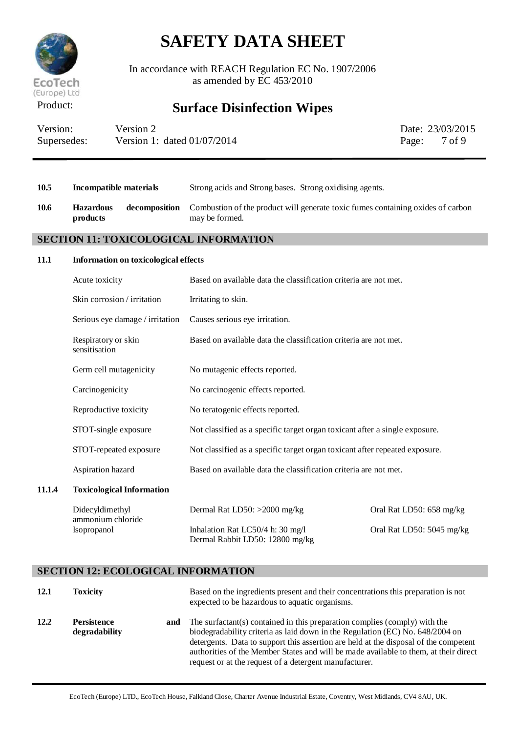

In accordance with REACH Regulation EC No. 1907/2006 as amended by EC 453/2010

## Product: **Surface Disinfection Wipes**

| Version:    | Version 2                     | Date: 23/03/2015 |
|-------------|-------------------------------|------------------|
| Supersedes: | Version 1: dated $01/07/2014$ | Page: 7 of 9     |

| 10.5   | <b>Incompatible materials</b>                       | Strong acids and Strong bases. Strong oxidising agents.                                           |                           |  |
|--------|-----------------------------------------------------|---------------------------------------------------------------------------------------------------|---------------------------|--|
| 10.6   | <b>Hazardous</b><br>decomposition<br>products       | Combustion of the product will generate toxic fumes containing oxides of carbon<br>may be formed. |                           |  |
|        | <b>SECTION 11: TOXICOLOGICAL INFORMATION</b>        |                                                                                                   |                           |  |
| 11.1   | Information on toxicological effects                |                                                                                                   |                           |  |
|        | Acute toxicity                                      | Based on available data the classification criteria are not met.                                  |                           |  |
|        | Skin corrosion / irritation                         | Irritating to skin.                                                                               |                           |  |
|        | Serious eye damage / irritation                     | Causes serious eye irritation.                                                                    |                           |  |
|        | Respiratory or skin<br>sensitisation                | Based on available data the classification criteria are not met.                                  |                           |  |
|        | Germ cell mutagenicity                              | No mutagenic effects reported.                                                                    |                           |  |
|        | Carcinogenicity                                     | No carcinogenic effects reported.                                                                 |                           |  |
|        | Reproductive toxicity                               | No teratogenic effects reported.                                                                  |                           |  |
|        | STOT-single exposure                                | Not classified as a specific target organ toxicant after a single exposure.                       |                           |  |
|        | STOT-repeated exposure                              | Not classified as a specific target organ toxicant after repeated exposure.                       |                           |  |
|        | Aspiration hazard                                   | Based on available data the classification criteria are not met.                                  |                           |  |
| 11.1.4 | <b>Toxicological Information</b>                    |                                                                                                   |                           |  |
|        | Didecyldimethyl<br>ammonium chloride<br>Isopropanol | Dermal Rat LD50: >2000 mg/kg                                                                      | Oral Rat LD50: 658 mg/kg  |  |
|        |                                                     | Inhalation Rat LC50/4 h: 30 mg/l<br>Dermal Rabbit LD50: 12800 mg/kg                               | Oral Rat LD50: 5045 mg/kg |  |

## **SECTION 12: ECOLOGICAL INFORMATION**

| 12.1 | <b>Toxicity</b>                     |     | Based on the ingredients present and their concentrations this preparation is not<br>expected to be hazardous to aquatic organisms.                                                                                                                                                                                                                                                                   |
|------|-------------------------------------|-----|-------------------------------------------------------------------------------------------------------------------------------------------------------------------------------------------------------------------------------------------------------------------------------------------------------------------------------------------------------------------------------------------------------|
| 12.2 | <b>Persistence</b><br>degradability | and | The surfactant(s) contained in this preparation complies (comply) with the<br>biodegradability criteria as laid down in the Regulation (EC) No. 648/2004 on<br>detergents. Data to support this assertion are held at the disposal of the competent<br>authorities of the Member States and will be made available to them, at their direct<br>request or at the request of a detergent manufacturer. |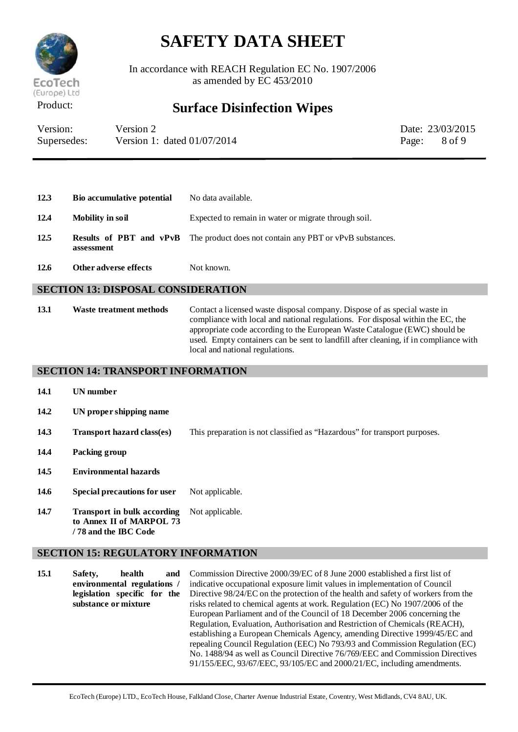

In accordance with REACH Regulation EC No. 1907/2006 as amended by EC 453/2010

## Product: **Surface Disinfection Wipes**

| Version:    | Version 2                     | Date: 23/03/2015 |
|-------------|-------------------------------|------------------|
| Supersedes: | Version 1: dated $01/07/2014$ | Page: 8 of 9     |

| 12.3 | Bio accumulative potential | No data available.                                                                      |
|------|----------------------------|-----------------------------------------------------------------------------------------|
| 12.4 | <b>Mobility in soil</b>    | Expected to remain in water or migrate through soil.                                    |
| 12.5 | assessment                 | <b>Results of PBT and vPvB</b> The product does not contain any PBT or vPvB substances. |

**12.6 Other adverse effects** Not known.

### **SECTION 13: DISPOSAL CONSIDERATION**

**13.1 Waste treatment methods** Contact a licensed waste disposal company. Dispose of as special waste in compliance with local and national regulations. For disposal within the EC, the appropriate code according to the European Waste Catalogue (EWC) should be used. Empty containers can be sent to landfill after cleaning, if in compliance with local and national regulations.

#### **SECTION 14: TRANSPORT INFORMATION**

**14.1 UN number 14.2 UN proper shipping name 14.3 Transport hazard class(es)** This preparation is not classified as "Hazardous" for transport purposes. **14.4 Packing group 14.5 Environmental hazards** 14.6 **Special precautions for user** Not applicable. **14.7 Transport in bulk according to Annex II of MARPOL 73 / 78 and the IBC Code** Not applicable.

### **SECTION 15: REGULATORY INFORMATION**

**15.1 Safety, health and environmental regulations / legislation specific for the substance or mixture** Commission Directive 2000/39/EC of 8 June 2000 established a first list of indicative occupational exposure limit values in implementation of Council Directive 98/24/EC on the protection of the health and safety of workers from the risks related to chemical agents at work. Regulation (EC) No 1907/2006 of the European Parliament and of the Council of 18 December 2006 concerning the Regulation, Evaluation, Authorisation and Restriction of Chemicals (REACH), establishing a European Chemicals Agency, amending Directive 1999/45/EC and repealing Council Regulation (EEC) No 793/93 and Commission Regulation (EC) No. 1488/94 as well as Council Directive 76/769/EEC and Commission Directives 91/155/EEC, 93/67/EEC, 93/105/EC and 2000/21/EC, including amendments.